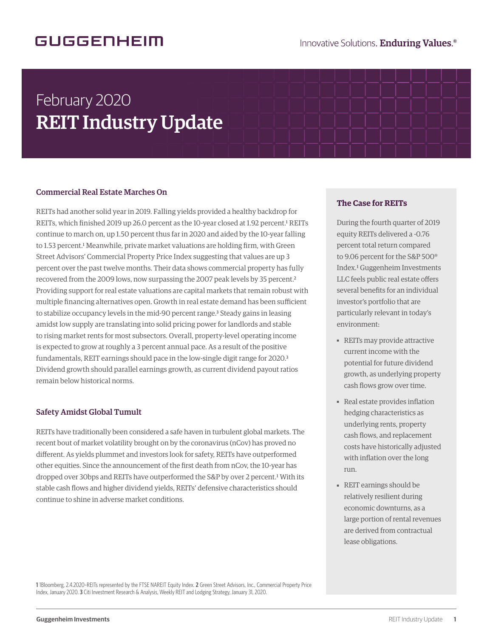## GUGGENHEIM

# February 2020 REIT Industry Update

### Commercial Real Estate Marches On

REITs had another solid year in 2019. Falling yields provided a healthy backdrop for REITs, which finished 2019 up 26.0 percent as the 10-year closed at 1.92 percent.<sup>1</sup> REITs continue to march on, up 1.50 percent thus far in 2020 and aided by the 10-year falling to 1.53 percent.<sup>1</sup> Meanwhile, private market valuations are holding firm, with Green Street Advisors' Commercial Property Price Index suggesting that values are up 3 percent over the past twelve months. Their data shows commercial property has fully recovered from the 2009 lows, now surpassing the 2007 peak levels by 35 percent.<sup>2</sup> Providing support for real estate valuations are capital markets that remain robust with multiple financing alternatives open. Growth in real estate demand has been sufficient to stabilize occupancy levels in the mid-90 percent range.<sup>3</sup> Steady gains in leasing amidst low supply are translating into solid pricing power for landlords and stable to rising market rents for most subsectors. Overall, property-level operating income is expected to grow at roughly a 3 percent annual pace. As a result of the positive fundamentals, REIT earnings should pace in the low-single digit range for 2020.<sup>3</sup> Dividend growth should parallel earnings growth, as current dividend payout ratios remain below historical norms.

#### Safety Amidst Global Tumult

REITs have traditionally been considered a safe haven in turbulent global markets. The recent bout of market volatility brought on by the coronavirus (nCov) has proved no different. As yields plummet and investors look for safety, REITs have outperformed other equities. Since the announcement of the first death from nCov, the 10-year has dropped over 30bps and REITs have outperformed the S&P by over 2 percent.<sup>1</sup> With its stable cash flows and higher dividend yields, REITs' defensive characteristics should continue to shine in adverse market conditions.

#### **The Case for REITs**

During the fourth quarter of 2019 equity REITs delivered a -0.76 percent total return compared to 9.06 percent for the S&P 500® Index.1 Guggenheim Investments LLC feels public real estate offers several benefits for an individual investor's portfolio that are particularly relevant in today's environment:

- REITs may provide attractive current income with the potential for future dividend growth, as underlying property cash flows grow over time.
- Real estate provides inflation hedging characteristics as underlying rents, property cash flows, and replacement costs have historically adjusted with inflation over the long run.
- REIT earnings should be relatively resilient during economic downturns, as a large portion of rental revenues are derived from contractual lease obligations.

**1** 1Bloomberg, 2.4.2020–REITs represented by the FTSE NAREIT Equity Index. **2** Green Street Advisors, Inc., Commercial Property Price Index, January 2020. **3** Citi Investment Research & Analysis, Weekly REIT and Lodging Strategy, January 31, 2020.